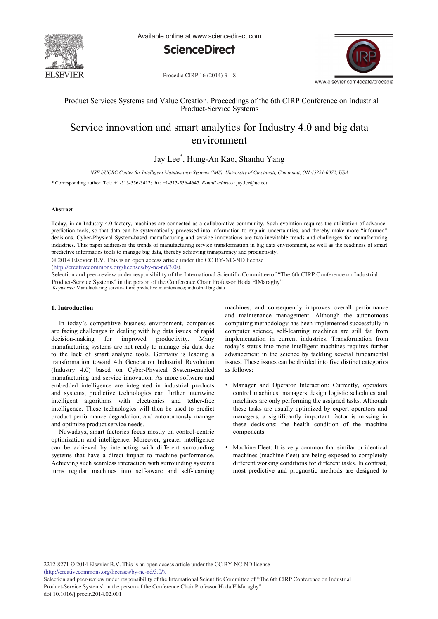

Available online at www.sciencedirect.com





Procedia CIRP 16 (2014) 3 - 8

Product Services Systems and Value Creation. Proceedings of the 6th CIRP Conference on Industrial Product-Service Systems

# Service innovation and smart analytics for Industry 4.0 and big data environment

## Jay Lee\* , Hung-An Kao, Shanhu Yang

*NSF I/UCRC Center for Intelligent Maintenance Systems (IMS), University of Cincinnati, Cincinnati, OH 45221-0072, USA* 

\* Corresponding author. Tel.: +1-513-556-3412; fax: +1-513-556-4647. *E-mail address:* jay.lee@uc.edu

#### **Abstract**

Today, in an Industry 4.0 factory, machines are connected as a collaborative community. Such evolution requires the utilization of advanceprediction tools, so that data can be systematically processed into information to explain uncertainties, and thereby make more "informed" decisions. Cyber-Physical System-based manufacturing and service innovations are two inevitable trends and challenges for manufacturing industries. This paper addresses the trends of manufacturing service transformation in big data environment, as well as the readiness of smart predictive informatics tools to manage big data, thereby achieving transparency and productivity.

© 2014 Elsevier B.V. This is an open access article under the CC BY-NC-ND license

(http://creativecommons.org/licenses/by-nc-nd/3.0/).

Selection and peer-review under responsibility of the International Scientific Committee of "The 6th CIRP Conference on Industrial *Keywords:* Manufacturing servitization; predictive maintenance; industrial big data Product-Service Systems" in the person of the Conference Chair Professor Hoda ElMaraghy"

#### **1. Introduction**

In today's competitive business environment, companies are facing challenges in dealing with big data issues of rapid decision-making for improved productivity. Many manufacturing systems are not ready to manage big data due to the lack of smart analytic tools. Germany is leading a transformation toward 4th Generation Industrial Revolution (Industry 4.0) based on Cyber-Physical System-enabled manufacturing and service innovation. As more software and embedded intelligence are integrated in industrial products and systems, predictive technologies can further intertwine intelligent algorithms with electronics and tether-free intelligence. These technologies will then be used to predict product performance degradation, and autonomously manage and optimize product service needs.

Nowadays, smart factories focus mostly on control-centric optimization and intelligence. Moreover, greater intelligence can be achieved by interacting with different surrounding systems that have a direct impact to machine performance. Achieving such seamless interaction with surrounding systems turns regular machines into self-aware and self-learning machines, and consequently improves overall performance and maintenance management. Although the autonomous computing methodology has been implemented successfully in computer science, self-learning machines are still far from implementation in current industries. Transformation from today's status into more intelligent machines requires further advancement in the science by tackling several fundamental issues. These issues can be divided into five distinct categories as follows:

- Manager and Operator Interaction: Currently, operators control machines, managers design logistic schedules and machines are only performing the assigned tasks. Although these tasks are usually optimized by expert operators and managers, a significantly important factor is missing in these decisions: the health condition of the machine components.
- Machine Fleet: It is very common that similar or identical machines (machine fleet) are being exposed to completely different working conditions for different tasks. In contrast, most predictive and prognostic methods are designed to

2212-8271 © 2014 Elsevier B.V. This is an open access article under the CC BY-NC-ND license (http://creativecommons.org/licenses/by-nc-nd/3.0/).

Selection and peer-review under responsibility of the International Scientific Committee of "The 6th CIRP Conference on Industrial Product-Service Systems" in the person of the Conference Chair Professor Hoda ElMaraghy" doi: 10.1016/j.procir.2014.02.001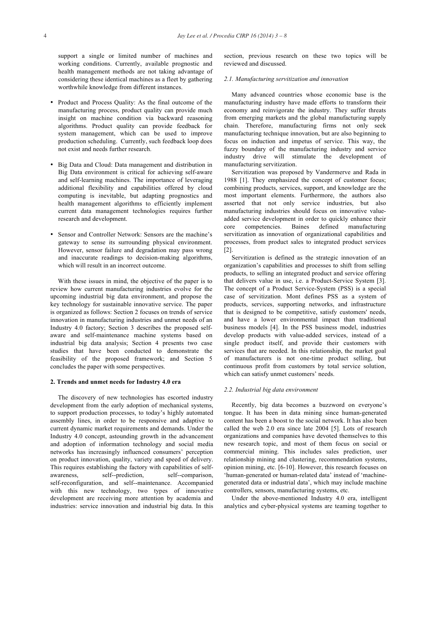support a single or limited number of machines and working conditions. Currently, available prognostic and health management methods are not taking advantage of considering these identical machines as a fleet by gathering worthwhile knowledge from different instances.

- Product and Process Quality: As the final outcome of the manufacturing process, product quality can provide much insight on machine condition via backward reasoning algorithms. Product quality can provide feedback for system management, which can be used to improve production scheduling. Currently, such feedback loop does not exist and needs further research.
- Big Data and Cloud: Data management and distribution in Big Data environment is critical for achieving self-aware and self-learning machines. The importance of leveraging additional flexibility and capabilities offered by cloud computing is inevitable, but adapting prognostics and health management algorithms to efficiently implement current data management technologies requires further research and development.
- Sensor and Controller Network: Sensors are the machine's gateway to sense its surrounding physical environment. However, sensor failure and degradation may pass wrong and inaccurate readings to decision-making algorithms, which will result in an incorrect outcome.

With these issues in mind, the objective of the paper is to review how current manufacturing industries evolve for the upcoming industrial big data environment, and propose the key technology for sustainable innovative service. The paper is organized as follows: Section 2 focuses on trends of service innovation in manufacturing industries and unmet needs of an Industry 4.0 factory; Section 3 describes the proposed selfaware and self-maintenance machine systems based on industrial big data analysis; Section 4 presents two case studies that have been conducted to demonstrate the feasibility of the proposed framework; and Section 5 concludes the paper with some perspectives.

#### **2. Trends and unmet needs for Industry 4.0 era**

The discovery of new technologies has escorted industry development from the early adoption of mechanical systems, to support production processes, to today's highly automated assembly lines, in order to be responsive and adaptive to current dynamic market requirements and demands. Under the Industry 4.0 concept, astounding growth in the advancement and adoption of information technology and social media networks has increasingly influenced consumers' perception on product innovation, quality, variety and speed of delivery. This requires establishing the factory with capabilities of selfawareness, self--prediction, self--comparison, self-reconfiguration, and self--maintenance. Accompanied with this new technology, two types of innovative development are receiving more attention by academia and industries: service innovation and industrial big data. In this section, previous research on these two topics will be reviewed and discussed.

#### *2.1. Manufacturing servitization and innovation*

Many advanced countries whose economic base is the manufacturing industry have made efforts to transform their economy and reinvigorate the industry. They suffer threats from emerging markets and the global manufacturing supply chain. Therefore, manufacturing firms not only seek manufacturing technique innovation, but are also beginning to focus on induction and impetus of service. This way, the fuzzy boundary of the manufacturing industry and service industry drive will stimulate the development of manufacturing servitization.

Servitization was proposed by Vandermerve and Rada in 1988 [1]. They emphasized the concept of customer focus; combining products, services, support, and knowledge are the most important elements. Furthermore, the authors also asserted that not only service industries, but also manufacturing industries should focus on innovative valueadded service development in order to quickly enhance their core competencies. Baines defined manufacturing servitization as innovation of organizational capabilities and processes, from product sales to integrated product services [2].

Servitization is defined as the strategic innovation of an organization's capabilities and processes to shift from selling products, to selling an integrated product and service offering that delivers value in use, i.e. a Product-Service System [3]. The concept of a Product Service-System (PSS) is a special case of servitization. Mont defines PSS as a system of products, services, supporting networks, and infrastructure that is designed to be competitive, satisfy customers' needs, and have a lower environmental impact than traditional business models [4]. In the PSS business model, industries develop products with value-added services, instead of a single product itself, and provide their customers with services that are needed. In this relationship, the market goal of manufacturers is not one-time product selling, but continuous profit from customers by total service solution, which can satisfy unmet customers' needs.

#### *2.2. Industrial big data environment*

Recently, big data becomes a buzzword on everyone's tongue. It has been in data mining since human-generated content has been a boost to the social network. It has also been called the web 2.0 era since late 2004 [5]. Lots of research organizations and companies have devoted themselves to this new research topic, and most of them focus on social or commercial mining. This includes sales prediction, user relationship mining and clustering, recommendation systems, opinion mining, etc. [6-10]. However, this research focuses on 'human-generated or human-related data' instead of 'machinegenerated data or industrial data', which may include machine controllers, sensors, manufacturing systems, etc.

Under the above-mentioned Industry 4.0 era, intelligent analytics and cyber-physical systems are teaming together to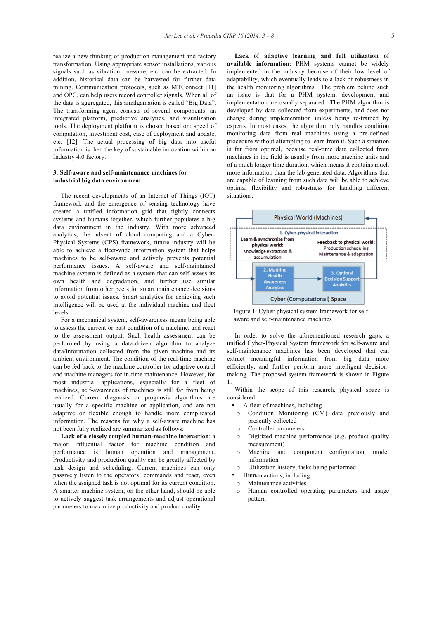realize a new thinking of production management and factory transformation. Using appropriate sensor installations, various signals such as vibration, pressure, etc. can be extracted. In addition, historical data can be harvested for further data mining. Communication protocols, such as MTConnect [11] and OPC, can help users record controller signals. When all of the data is aggregated, this amalgamation is called "Big Data". The transforming agent consists of several components: an integrated platform, predictive analytics, and visualization tools. The deployment platform is chosen based on: speed of computation, investment cost, ease of deployment and update, etc. [12]. The actual processing of big data into useful information is then the key of sustainable innovation within an Industry 4.0 factory.

#### **3. Self-aware and self-maintenance machines for industrial big data environment**

The recent developments of an Internet of Things (IOT) framework and the emergence of sensing technology have created a unified information grid that tightly connects systems and humans together, which further populates a big data environment in the industry. With more advanced analytics, the advent of cloud computing and a Cyber-Physical Systems (CPS) framework, future industry will be able to achieve a fleet-wide information system that helps machines to be self-aware and actively prevents potential performance issues. A self-aware and self-maintained machine system is defined as a system that can self-assess its own health and degradation, and further use similar information from other peers for smart maintenance decisions to avoid potential issues. Smart analytics for achieving such intelligence will be used at the individual machine and fleet levels.

For a mechanical system, self-awareness means being able to assess the current or past condition of a machine, and react to the assessment output. Such health assessment can be performed by using a data-driven algorithm to analyze data/information collected from the given machine and its ambient environment. The condition of the real-time machine can be fed back to the machine controller for adaptive control and machine managers for in-time maintenance. However, for most industrial applications, especially for a fleet of machines, self-awareness of machines is still far from being realized. Current diagnosis or prognosis algorithms are usually for a specific machine or application, and are not adaptive or flexible enough to handle more complicated information. The reasons for why a self-aware machine has not been fully realized are summarized as follows:

**Lack of a closely coupled human-machine interaction**: a major influential factor for machine condition and performance is human operation and management. Productivity and production quality can be greatly affected by task design and scheduling. Current machines can only passively listen to the operators' commands and react, even when the assigned task is not optimal for its current condition. A smarter machine system, on the other hand, should be able to actively suggest task arrangements and adjust operational parameters to maximize productivity and product quality.

**Lack of adaptive learning and full utilization of available information**: PHM systems cannot be widely implemented in the industry because of their low level of adaptability, which eventually leads to a lack of robustness in the health monitoring algorithms. The problem behind such an issue is that for a PHM system, development and implementation are usually separated. The PHM algorithm is developed by data collected from experiments, and does not change during implementation unless being re-trained by experts. In most cases, the algorithm only handles condition monitoring data from real machines using a pre-defined procedure without attempting to learn from it. Such a situation is far from optimal, because real-time data collected from machines in the field is usually from more machine units and of a much longer time duration, which means it contains much more information than the lab-generated data. Algorithms that are capable of learning from such data will be able to achieve optimal flexibility and robustness for handling different situations.



Figure 1: Cyber-physical system framework for selfaware and self-maintenance machines

In order to solve the aforementioned research gaps, a unified Cyber-Physical System framework for self-aware and self-maintenance machines has been developed that can extract meaningful information from big data more efficiently, and further perform more intelligent decisionmaking. The proposed system framework is shown in Figure 1.

Within the scope of this research, physical space is considered:

- A fleet of machines, including
- o Condition Monitoring (CM) data previously and presently collected
- o Controller parameters
- o Digitized machine performance (e.g. product quality measurement)
- o Machine and component configuration, model information
- o Utilization history, tasks being performed
- Human actions, including
- o Maintenance activities
- o Human controlled operating parameters and usage pattern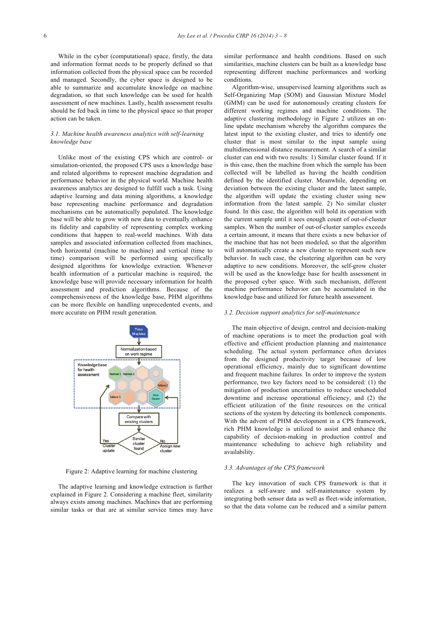While in the cyber (computational) space, firstly, the data and information format needs to be properly defined so that information collected from the physical space can be recorded and managed. Secondly, the cyber space is designed to be able to summarize and accumulate knowledge on machine degradation, so that such knowledge can be used for health assessment of new machines. Lastly, health assessment results should be fed back in time to the physical space so that proper action can be taken.

### *3.1. Machine health awareness analytics with self-learning knowledge base*

Unlike most of the existing CPS which are control- or simulation-oriented, the proposed CPS uses a knowledge base and related algorithms to represent machine degradation and performance behavior in the physical world. Machine health awareness analytics are designed to fulfill such a task. Using adaptive learning and data mining algorithms, a knowledge base representing machine performance and degradation mechanisms can be automatically populated. The knowledge base will be able to grow with new data to eventually enhance its fidelity and capability of representing complex working conditions that happen to real-world machines. With data samples and associated information collected from machines, both horizontal (machine to machine) and vertical (time to time) comparison will be performed using specifically designed algorithms for knowledge extraction. Whenever health information of a particular machine is required, the knowledge base will provide necessary information for health assessment and prediction algorithms. Because of the comprehensiveness of the knowledge base, PHM algorithms can be more flexible on handling unprecedented events, and more accurate on PHM result generation.



Figure 2: Adaptive learning for machine clustering

The adaptive learning and knowledge extraction is further explained in Figure 2. Considering a machine fleet, similarity always exists among machines. Machines that are performing similar tasks or that are at similar service times may have similar performance and health conditions. Based on such similarities, machine clusters can be built as a knowledge base representing different machine performances and working conditions.

Algorithm-wise, unsupervised learning algorithms such as Self-Organizing Map (SOM) and Gaussian Mixture Model (GMM) can be used for autonomously creating clusters for different working regimes and machine conditions. The adaptive clustering methodology in Figure 2 utilizes an online update mechanism whereby the algorithm compares the latest input to the existing cluster, and tries to identify one cluster that is most similar to the input sample using multidimensional distance measurement. A search of a similar cluster can end with two results: 1) Similar cluster found. If it is this case, then the machine from which the sample has been collected will be labelled as having the health condition defined by the identified cluster. Meanwhile, depending on deviation between the existing cluster and the latest sample, the algorithm will update the existing cluster using new information from the latest sample. 2) No similar cluster found. In this case, the algorithm will hold its operation with the current sample until it sees enough count of out-of-cluster samples. When the number of out-of-cluster samples exceeds a certain amount, it means that there exists a new behavior of the machine that has not been modeled, so that the algorithm will automatically create a new cluster to represent such new behavior. In such case, the clustering algorithm can be very adaptive to new conditions. Moreover, the self-grow cluster will be used as the knowledge base for health assessment in the proposed cyber space. With such mechanism, different machine performance behavior can be accumulated in the knowledge base and utilized for future health assessment.

#### *3.2. Decision support analytics for self-maintenance*

The main objective of design, control and decision-making of machine operations is to meet the production goal with effective and efficient production planning and maintenance scheduling. The actual system performance often deviates from the designed productivity target because of low operational efficiency, mainly due to significant downtime and frequent machine failures. In order to improve the system performance, two key factors need to be considered: (1) the mitigation of production uncertainties to reduce unscheduled downtime and increase operational efficiency, and (2) the efficient utilization of the finite resources on the critical sections of the system by detecting its bottleneck components. With the advent of PHM development in a CPS framework, rich PHM knowledge is utilized to assist and enhance the capability of decision-making in production control and maintenance scheduling to achieve high reliability and availability.

#### *3.3. Advantages of the CPS framework*

The key innovation of such CPS framework is that it realizes a self-aware and self-maintenance system by integrating both sensor data as well as fleet-wide information, so that the data volume can be reduced and a similar pattern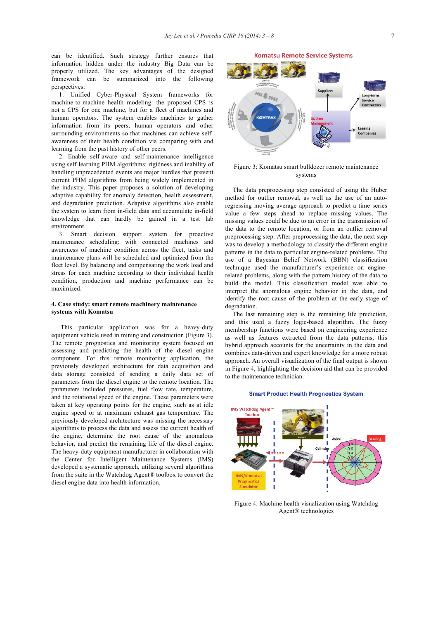can be identified. Such strategy further ensures that information hidden under the industry Big Data can be properly utilized. The key advantages of the designed framework can be summarized into the following perspectives:

1. Unified Cyber-Physical System frameworks for machine-to-machine health modeling: the proposed CPS is not a CPS for one machine, but for a fleet of machines and human operators. The system enables machines to gather information from its peers, human operators and other surrounding environments so that machines can achieve selfawareness of their health condition via comparing with and learning from the past history of other peers.

2. Enable self-aware and self-maintenance intelligence using self-learning PHM algorithms: rigidness and inability of handling unprecedented events are major hurdles that prevent current PHM algorithms from being widely implemented in the industry. This paper proposes a solution of developing adaptive capability for anomaly detection, health assessment, and degradation prediction. Adaptive algorithms also enable the system to learn from in-field data and accumulate in-field knowledge that can hardly be gained in a test lab environment.

3. Smart decision support system for proactive maintenance scheduling: with connected machines and awareness of machine condition across the fleet, tasks and maintenance plans will be scheduled and optimized from the fleet level. By balancing and compensating the work load and stress for each machine according to their individual health condition, production and machine performance can be maximized.

#### **4. Case study: smart remote machinery maintenance systems with Komatsu**

 This particular application was for a heavy-duty equipment vehicle used in mining and construction (Figure 3). The remote prognostics and monitoring system focused on assessing and predicting the health of the diesel engine component. For this remote monitoring application, the previously developed architecture for data acquisition and data storage consisted of sending a daily data set of parameters from the diesel engine to the remote location. The parameters included pressures, fuel flow rate, temperature, and the rotational speed of the engine. These parameters were taken at key operating points for the engine, such as at idle engine speed or at maximum exhaust gas temperature. The previously developed architecture was missing the necessary algorithms to process the data and assess the current health of the engine, determine the root cause of the anomalous behavior, and predict the remaining life of the diesel engine. The heavy-duty equipment manufacturer in collaboration with the Center for Intelligent Maintenance Systems (IMS) developed a systematic approach, utilizing several algorithms from the suite in the Watchdog Agent® toolbox to convert the diesel engine data into health information.



Figure 3: Komatsu smart bulldozer remote maintenance systems

The data preprocessing step consisted of using the Huber method for outlier removal, as well as the use of an autoregressing moving average approach to predict a time series value a few steps ahead to replace missing values. The missing values could be due to an error in the transmission of the data to the remote location, or from an outlier removal preprocessing step. After preprocessing the data, the next step was to develop a methodology to classify the different engine patterns in the data to particular engine-related problems. The use of a Bayesian Belief Network (BBN) classification technique used the manufacturer's experience on enginerelated problems, along with the pattern history of the data to build the model. This classification model was able to interpret the anomalous engine behavior in the data, and identify the root cause of the problem at the early stage of degradation.

The last remaining step is the remaining life prediction, and this used a fuzzy logic-based algorithm. The fuzzy membership functions were based on engineering experience as well as features extracted from the data patterns; this hybrid approach accounts for the uncertainty in the data and combines data-driven and expert knowledge for a more robust approach. An overall visualization of the final output is shown in Figure 4, highlighting the decision aid that can be provided to the maintenance technician.

#### **Smart Product Health Prognostics System**



Figure 4: Machine health visualization using Watchdog Agent® technologies